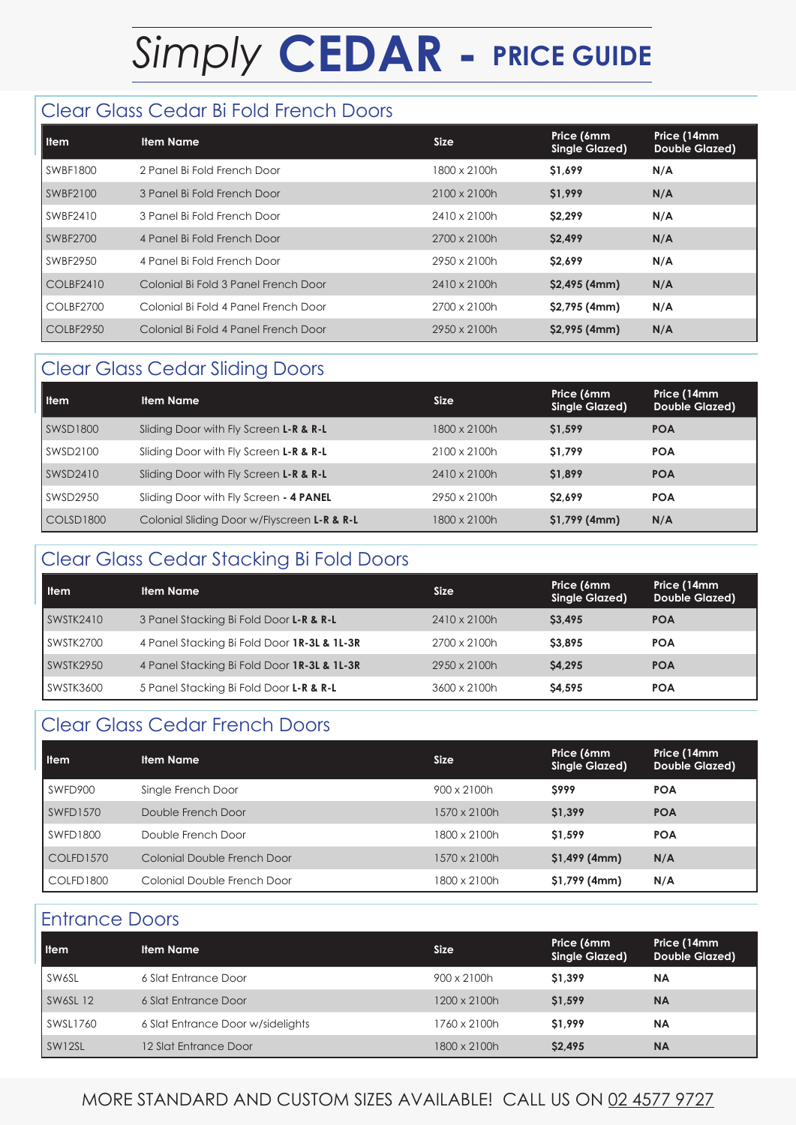# *Simply* **CEDAR - PRICE GUIDE**

#### Clear Glass Cedar Bi Fold French Doors

| l Item           | <b>Item Name</b>                     | <b>Size</b>  | Price (6mm<br><b>Single Glazed)</b> | Price (14mm<br><b>Double Glazed)</b> |
|------------------|--------------------------------------|--------------|-------------------------------------|--------------------------------------|
| SWBF1800         | 2 Panel Bi Fold French Door          | 1800 x 2100h | \$1,699                             | N/A                                  |
| SWBF2100         | 3 Panel Bi Fold French Door          | 2100 x 2100h | \$1,999                             | N/A                                  |
| SWBF2410         | 3 Panel Bi Fold French Door          | 2410 x 2100h | \$2,299                             | N/A                                  |
| SWBF2700         | 4 Panel Bi Fold French Door          | 2700 x 2100h | \$2,499                             | N/A                                  |
| SWBF2950         | 4 Panel Bi Fold French Door          | 2950 x 2100h | S <sub>2.699</sub>                  | N/A                                  |
| <b>COLBF2410</b> | Colonial Bi Fold 3 Panel French Door | 2410 x 2100h | $$2,495$ (4mm)                      | N/A                                  |
| COLBF2700        | Colonial Bi Fold 4 Panel French Door | 2700 x 2100h | \$2,795 (4mm)                       | N/A                                  |
| COLBF2950        | Colonial Bi Fold 4 Panel French Door | 2950 x 2100h | $$2,995$ (4mm)                      | N/A                                  |

### Clear Glass Cedar Sliding Doors

| <b>Item</b>          | <b>Item Name</b>                                       | <b>Size</b>         | Price (6mm<br><b>Single Glazed)</b> | Price (14mm<br><b>Double Glazed)</b> |
|----------------------|--------------------------------------------------------|---------------------|-------------------------------------|--------------------------------------|
| SWSD1800             | Sliding Door with Fly Screen L-R & R-L                 | 1800 x 2100h        | \$1,599                             | <b>POA</b>                           |
| SWSD2100             | Sliding Door with Fly Screen <b>L-R &amp; R-L</b>      | $2100 \times 2100h$ | \$1,799                             | <b>POA</b>                           |
| SWSD2410             | Sliding Door with Fly Screen L-R & R-L                 | 2410 x 2100h        | \$1,899                             | <b>POA</b>                           |
| SWSD2950             | Sliding Door with Fly Screen - 4 PANEL                 | 2950 x 2100h        | S <sub>2.699</sub>                  | <b>POA</b>                           |
| $\mathsf{COLSD}1800$ | Colonial Sliding Door w/Flyscreen <b>L-R &amp; R-L</b> | 1800 x 2100h        | $$1,799$ (4mm)                      | N/A                                  |

#### Clear Glass Cedar Stacking Bi Fold Doors

| <b>Item</b> | <b>Item Name</b>                            | <b>Size</b>  | Price (6mm<br>Single Glazed) | Price (14mm<br>Double Glazed) |
|-------------|---------------------------------------------|--------------|------------------------------|-------------------------------|
| SWSTK2410   | 3 Panel Stacking Bi Fold Door L-R & R-L     | 2410 x 2100h | <b>S3.495</b>                | <b>POA</b>                    |
| SWSTK2700   | 4 Panel Stacking Bi Fold Door 1R-3L & 1L-3R | 2700 x 2100h | <b>S3.895</b>                | <b>POA</b>                    |
| SWSTK2950   | 4 Panel Stacking Bi Fold Door 1R-3L & 1L-3R | 2950 x 2100h | <b>S4.295</b>                | <b>POA</b>                    |
| SWSTK3600   | 5 Panel Stacking Bi Fold Door L-R & R-L     | 3600 x 2100h | S4.595                       | <b>POA</b>                    |

#### Clear Glass Cedar French Doors

| <b>Item</b> | <b>Item Name</b>            | <b>Size</b>        | Price (6mm<br><b>Single Glazed)</b> | Price (14mm<br><b>Double Glazed)</b> |
|-------------|-----------------------------|--------------------|-------------------------------------|--------------------------------------|
| SWFD900     | Single French Door          | $900 \times 2100h$ | <b>S999</b>                         | <b>POA</b>                           |
| SWFD1570    | Double French Door          | 1570 x 2100h       | \$1,399                             | <b>POA</b>                           |
| SWFD1800    | Double French Door          | 1800 x 2100h       | \$1,599                             | <b>POA</b>                           |
| COLFD1570   | Colonial Double French Door | 1570 x 2100h       | $$1,499$ (4mm)                      | N/A                                  |
| COLFD1800   | Colonial Double French Door | 1800 x 2100h       | $$1,799$ (4mm)                      | N/A                                  |

#### Entrance Doors

| <b>I</b> tem | <b>Item Name</b>                  | <b>Size</b>  | Price (6mm<br><b>Single Glazed)</b> | Price (14mm<br><b>Double Glazed)</b> |
|--------------|-----------------------------------|--------------|-------------------------------------|--------------------------------------|
| SW6SL        | 6 Slat Entrance Door              | 900 x 2100h  | \$1.399                             | <b>NA</b>                            |
| SWSSL12      | 6 Slat Entrance Door              | 1200 x 2100h | \$1.599                             | <b>NA</b>                            |
| SWSL1760     | 6 Slat Entrance Door w/sidelights | 1760 x 2100h | \$1,999                             | <b>NA</b>                            |
| SW12SL       | 12 Slat Entrance Door             | 1800 x 2100h | <b>S2.495</b>                       | <b>NA</b>                            |

MORE STANDARD AND CUSTOM SIZES AVAILABLE! CALL US ON 02 4577 9727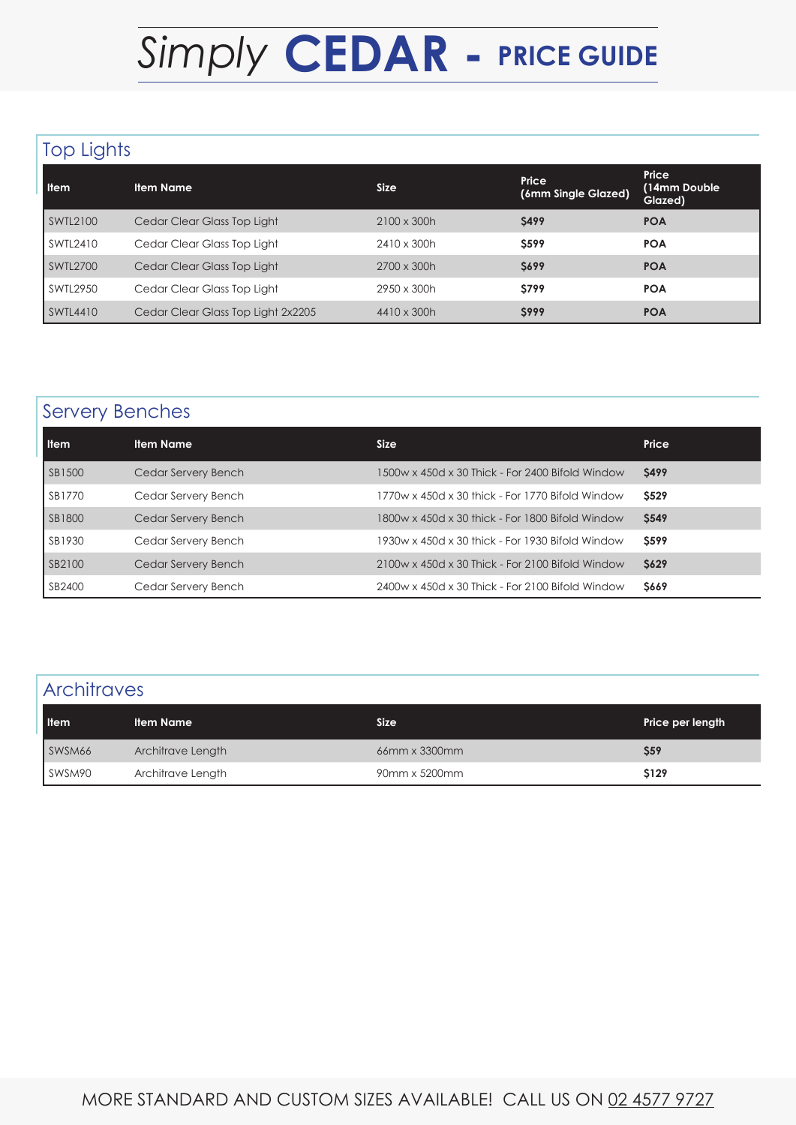# *Simply* **CEDAR - PRICE GUIDE**

# Top Lights

| <b>Item</b>     | <b>Item Name</b>                   | <b>Size</b>        | Price<br>(6mm Single Glazed) | Price<br>(14mm Double<br>Glazed) |
|-----------------|------------------------------------|--------------------|------------------------------|----------------------------------|
| SWTL2100        | Cedar Clear Glass Top Light        | $2100 \times 300h$ | <b>S499</b>                  | <b>POA</b>                       |
| SWTL2410        | Cedar Clear Glass Top Light        | 2410 x 300h        | <b>S599</b>                  | <b>POA</b>                       |
| <b>SWTL2700</b> | Cedar Clear Glass Top Light        | $2700 \times 300h$ | <b>S699</b>                  | <b>POA</b>                       |
| SWTL2950        | Cedar Clear Glass Top Light        | 2950 x 300h        | <b>S799</b>                  | <b>POA</b>                       |
| SWTL4410        | Cedar Clear Glass Top Light 2x2205 | 4410 x 300h        | <b>S999</b>                  | <b>POA</b>                       |

# Servery Benches

| <b>Item</b> | <b>Item Name</b>    | <b>Size</b>                                      | Price        |
|-------------|---------------------|--------------------------------------------------|--------------|
| SB1500      | Cedar Servery Bench | 1500w x 450d x 30 Thick - For 2400 Bifold Window | <b>S499</b>  |
| SB1770      | Cedar Servery Bench | 1770w x 450d x 30 thick - For 1770 Bifold Window | <b>S529</b>  |
| SB1800      | Cedar Servery Bench | 1800w x 450d x 30 thick - For 1800 Bifold Window | <b>\$549</b> |
| SB1930      | Cedar Servery Bench | 1930w x 450d x 30 thick - For 1930 Bifold Window | <b>S599</b>  |
| SB2100      | Cedar Servery Bench | 2100w x 450d x 30 Thick - For 2100 Bifold Window | <b>\$629</b> |
| SB2400      | Cedar Servery Bench | 2400w x 450d x 30 Thick - For 2100 Bifold Window | \$669        |

# **Architraves**

| <b>Item</b> | <b>Item Name</b>  | <b>Size</b>   | Price per length |
|-------------|-------------------|---------------|------------------|
| SWSM66      | Architrave Length | 66mm x 3300mm | \$59             |
| SWSM90      | Architrave Length | 90mm x 5200mm | \$129            |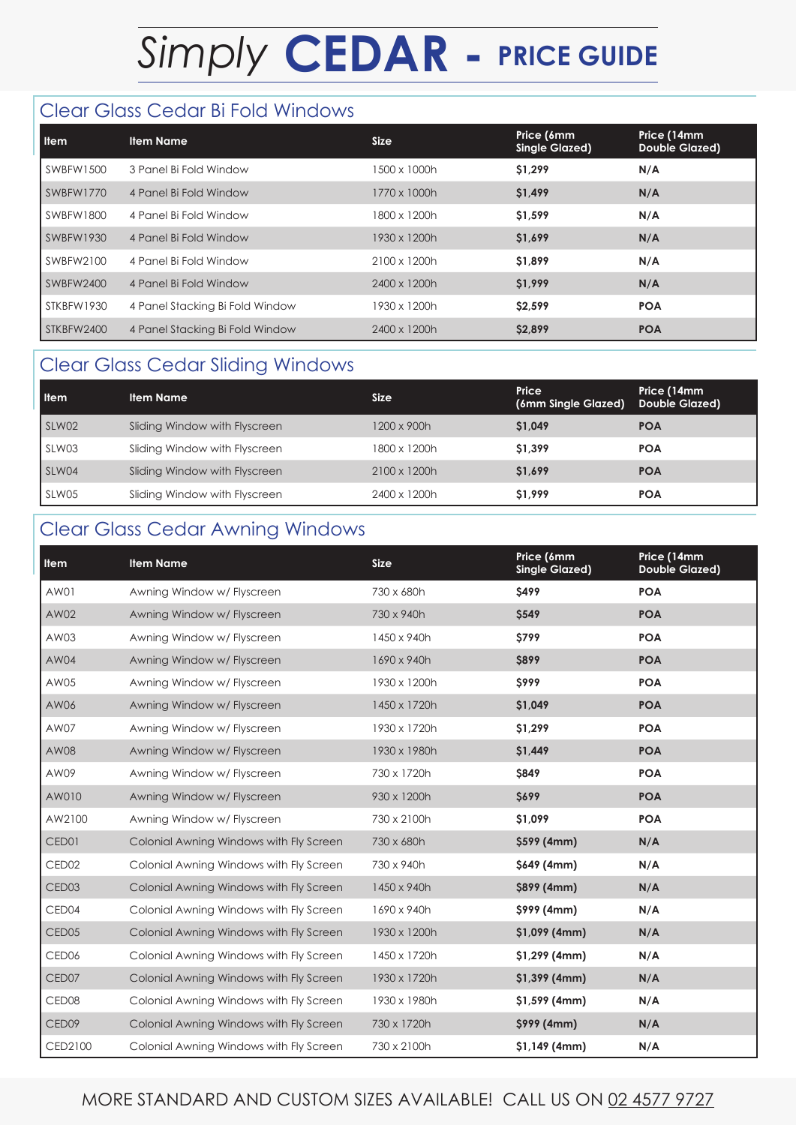# *Simply* **CEDAR - PRICE GUIDE**

#### Clear Glass Cedar Bi Fold Windows

| <b>Item</b> | <b>Item Name</b>                | <b>Size</b>  | Price (6mm<br>Single Glazed) | Price (14mm<br><b>Double Glazed)</b> |
|-------------|---------------------------------|--------------|------------------------------|--------------------------------------|
| SWBFW1500   | 3 Panel Bi Fold Window          | 1500 x 1000h | \$1,299                      | N/A                                  |
| SWBFW1770   | 4 Panel Bi Fold Window          | 1770 x 1000h | \$1,499                      | N/A                                  |
| SWBFW1800   | 4 Panel Bi Fold Window          | 1800 x 1200h | \$1,599                      | N/A                                  |
| SWBFW1930   | 4 Panel Bi Fold Window          | 1930 x 1200h | \$1,699                      | N/A                                  |
| SWBFW2100   | 4 Panel Bi Fold Window          | 2100 x 1200h | \$1,899                      | N/A                                  |
| SWBFW2400   | 4 Panel Bi Fold Window          | 2400 x 1200h | \$1,999                      | N/A                                  |
| STKBFW1930  | 4 Panel Stacking Bi Fold Window | 1930 x 1200h | \$2,599                      | <b>POA</b>                           |
| STKBFW2400  | 4 Panel Stacking Bi Fold Window | 2400 x 1200h | \$2,899                      | <b>POA</b>                           |

# Clear Glass Cedar Sliding Windows

| <b>Item</b> | <b>Item Name</b>              | Size                | Price<br>(6mm Single Glazed) | Price (14mm<br><b>Double Glazed)</b> |
|-------------|-------------------------------|---------------------|------------------------------|--------------------------------------|
| SLW02       | Sliding Window with Flyscreen | 1200 x 900h         | \$1,049                      | <b>POA</b>                           |
| SLW03       | Sliding Window with Flyscreen | 1800 x 1200h        | \$1,399                      | <b>POA</b>                           |
| SLW04       | Sliding Window with Flyscreen | $2100 \times 1200h$ | \$1,699                      | <b>POA</b>                           |
| SLW05       | Sliding Window with Flyscreen | 2400 x 1200h        | \$1,999                      | <b>POA</b>                           |

# Clear Glass Cedar Awning Windows

| Item              | <b>Item Name</b>                        | <b>Size</b>  | Price (6mm<br><b>Single Glazed)</b> | Price (14mm<br><b>Double Glazed)</b> |
|-------------------|-----------------------------------------|--------------|-------------------------------------|--------------------------------------|
| AW01              | Awning Window w/ Flyscreen              | 730 x 680h   | <b>\$499</b>                        | <b>POA</b>                           |
| AW02              | Awning Window w/ Flyscreen              | 730 x 940h   | \$549                               | <b>POA</b>                           |
| AW03              | Awning Window w/ Flyscreen              | 1450 x 940h  | \$799                               | <b>POA</b>                           |
| AW04              | Awning Window w/ Flyscreen              | 1690 x 940h  | <b>\$899</b>                        | <b>POA</b>                           |
| AW05              | Awning Window w/ Flyscreen              | 1930 x 1200h | <b>S999</b>                         | <b>POA</b>                           |
| AW06              | Awning Window w/ Flyscreen              | 1450 x 1720h | \$1,049                             | <b>POA</b>                           |
| AW07              | Awning Window w/ Flyscreen              | 1930 x 1720h | \$1,299                             | <b>POA</b>                           |
| AW08              | Awning Window w/ Flyscreen              | 1930 x 1980h | \$1,449                             | <b>POA</b>                           |
| AW09              | Awning Window w/ Flyscreen              | 730 x 1720h  | \$849                               | <b>POA</b>                           |
| AW010             | Awning Window w/ Flyscreen              | 930 x 1200h  | <b>S699</b>                         | <b>POA</b>                           |
| AW2100            | Awning Window w/ Flyscreen              | 730 x 2100h  | \$1,099                             | <b>POA</b>                           |
| CED01             | Colonial Awning Windows with Fly Screen | 730 x 680h   | \$599 (4mm)                         | N/A                                  |
| CED <sub>02</sub> | Colonial Awning Windows with Fly Screen | 730 x 940h   | \$649 (4mm)                         | N/A                                  |
| CED <sub>03</sub> | Colonial Awning Windows with Fly Screen | 1450 x 940h  | \$899 (4mm)                         | N/A                                  |
| CED04             | Colonial Awning Windows with Fly Screen | 1690 x 940h  | \$999 (4mm)                         | N/A                                  |
| CED <sub>05</sub> | Colonial Awning Windows with Fly Screen | 1930 x 1200h | $$1,099$ (4mm)                      | N/A                                  |
| CED <sub>06</sub> | Colonial Awning Windows with Fly Screen | 1450 x 1720h | $$1,299$ (4mm)                      | N/A                                  |
| CED07             | Colonial Awning Windows with Fly Screen | 1930 x 1720h | $$1,399$ (4mm)                      | N/A                                  |
| CED <sub>08</sub> | Colonial Awning Windows with Fly Screen | 1930 x 1980h | $$1,599$ (4mm)                      | N/A                                  |
| CED09             | Colonial Awning Windows with Fly Screen | 730 x 1720h  | \$999 (4mm)                         | N/A                                  |
| CED2100           | Colonial Awning Windows with Fly Screen | 730 x 2100h  | $$1,149$ (4mm)                      | N/A                                  |

#### MORE STANDARD AND CUSTOM SIZES AVAILABLE! CALL US ON 02 4577 9727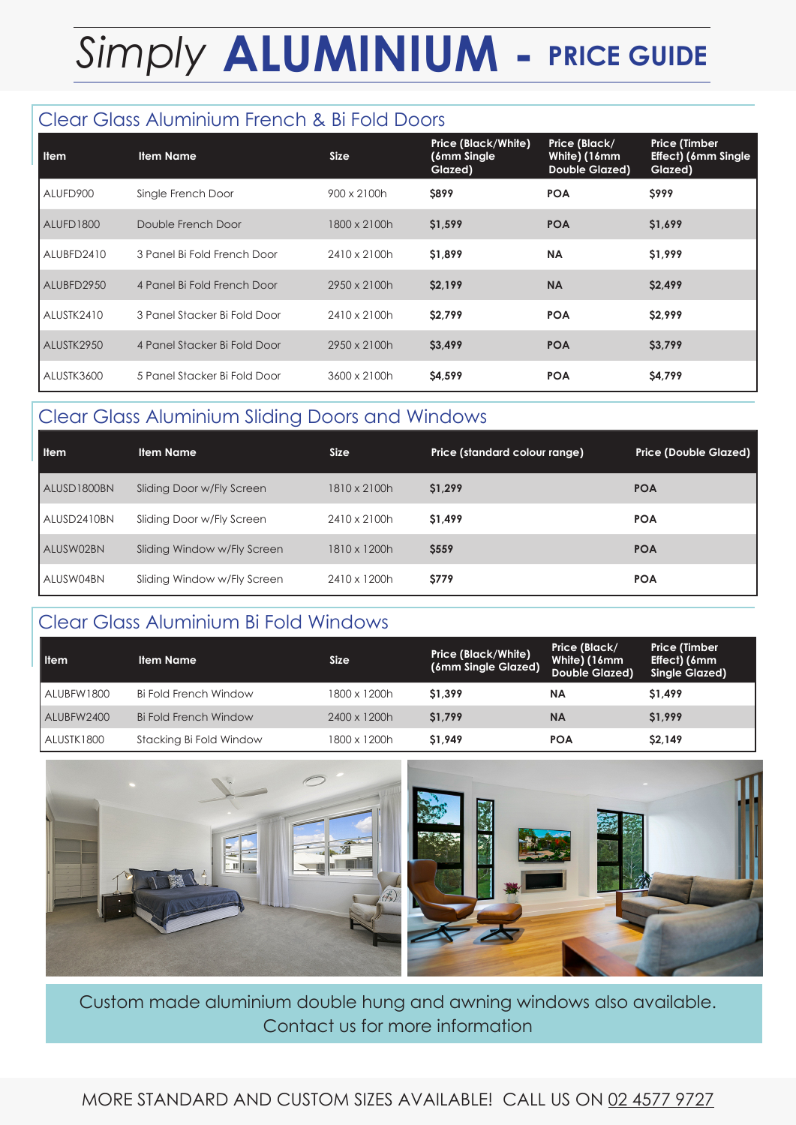# *Simply* **ALUMINIUM - PRICE GUIDE**

### Clear Glass Aluminium French & Bi Fold Doors

| <b>Item</b> | <b>Item Name</b>             | <b>Size</b>  | Price (Black/White)<br>(6mm Single)<br>Glazed) | Price (Black/<br>White) (16mm<br><b>Double Glazed)</b> | <b>Price (Timber</b><br><b>Effect) (6mm Single</b><br>Glazed) |
|-------------|------------------------------|--------------|------------------------------------------------|--------------------------------------------------------|---------------------------------------------------------------|
| ALUFD900    | Single French Door           | 900 x 2100h  | <b>S899</b>                                    | <b>POA</b>                                             | <b>S999</b>                                                   |
| ALUFD1800   | Double French Door           | 1800 x 2100h | \$1,599                                        | <b>POA</b>                                             | \$1,699                                                       |
| ALUBFD2410  | 3 Panel Bi Fold French Door  | 2410 x 2100h | \$1,899                                        | <b>NA</b>                                              | \$1,999                                                       |
| ALUBFD2950  | 4 Panel Bi Fold French Door  | 2950 x 2100h | \$2,199                                        | <b>NA</b>                                              | \$2,499                                                       |
| ALUSTK2410  | 3 Panel Stacker Bi Fold Door | 2410 x 2100h | \$2,799                                        | <b>POA</b>                                             | \$2,999                                                       |
| ALUSTK2950  | 4 Panel Stacker Bi Fold Door | 2950 x 2100h | \$3,499                                        | <b>POA</b>                                             | \$3,799                                                       |
| ALUSTK3600  | 5 Panel Stacker Bi Fold Door | 3600 x 2100h | \$4,599                                        | <b>POA</b>                                             | \$4,799                                                       |

### Clear Glass Aluminium Sliding Doors and Windows

| <b>Item</b> | <b>Item Name</b>            | Size.        | Price (standard colour range) | Price (Double Glazed) |
|-------------|-----------------------------|--------------|-------------------------------|-----------------------|
| ALUSD1800BN | Sliding Door w/Fly Screen   | 1810 x 2100h | \$1,299                       | <b>POA</b>            |
| ALUSD2410BN | Sliding Door w/Fly Screen   | 2410 x 2100h | \$1,499                       | <b>POA</b>            |
| ALUSW02BN   | Sliding Window w/Fly Screen | 1810 x 1200h | <b>\$559</b>                  | <b>POA</b>            |
| ALUSW04BN   | Sliding Window w/Fly Screen | 2410 x 1200h | <b>S779</b>                   | <b>POA</b>            |

#### Clear Glass Aluminium Bi Fold Windows

| <b>H</b> em | <b>Item Name</b>        | Size         | <b>Price (Black/White)</b><br>(6mm Single Glazed) | Price (Black/<br>White) (16mm<br>Double Glazed) | <b>Price (Timber</b><br>Effect) (6mm<br>Single Glazed) |
|-------------|-------------------------|--------------|---------------------------------------------------|-------------------------------------------------|--------------------------------------------------------|
| ALUBFW1800  | Bi Fold French Window   | 1800 x 1200h | \$1,399                                           | <b>NA</b>                                       | \$1,499                                                |
| ALUBFW2400  | Bi Fold French Window   | 2400 x 1200h | \$1,799                                           | <b>NA</b>                                       | \$1,999                                                |
| ALUSTK1800  | Stacking Bi Fold Window | 1800 x 1200h | \$1,949                                           | <b>POA</b>                                      | \$2,149                                                |



Custom made aluminium double hung and awning windows also available. Contact us for more information